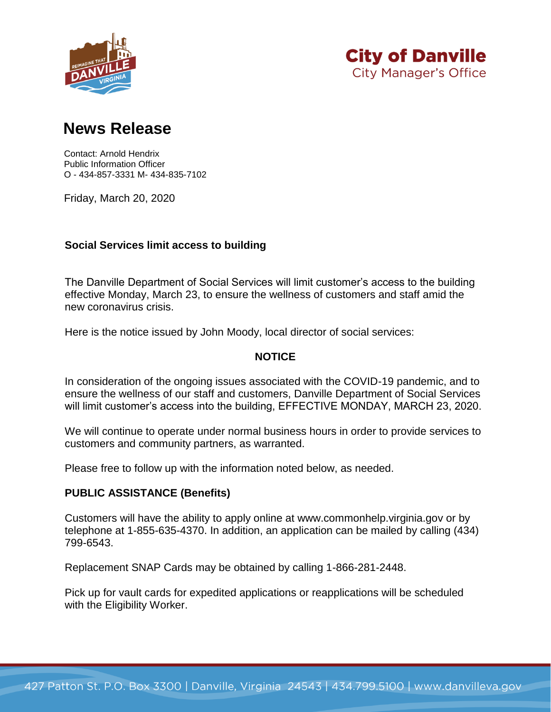



# **News Release**

Contact: Arnold Hendrix Public Information Officer O - 434-857-3331 M- 434-835-7102

Friday, March 20, 2020

## **Social Services limit access to building**

The Danville Department of Social Services will limit customer's access to the building effective Monday, March 23, to ensure the wellness of customers and staff amid the new coronavirus crisis.

Here is the notice issued by John Moody, local director of social services:

## **NOTICE**

In consideration of the ongoing issues associated with the COVID-19 pandemic, and to ensure the wellness of our staff and customers, Danville Department of Social Services will limit customer's access into the building, EFFECTIVE MONDAY, MARCH 23, 2020.

We will continue to operate under normal business hours in order to provide services to customers and community partners, as warranted.

Please free to follow up with the information noted below, as needed.

## **PUBLIC ASSISTANCE (Benefits)**

Customers will have the ability to apply online at www.commonhelp.virginia.gov or by telephone at 1-855-635-4370. In addition, an application can be mailed by calling (434) 799-6543.

Replacement SNAP Cards may be obtained by calling 1-866-281-2448.

Pick up for vault cards for expedited applications or reapplications will be scheduled with the Eligibility Worker.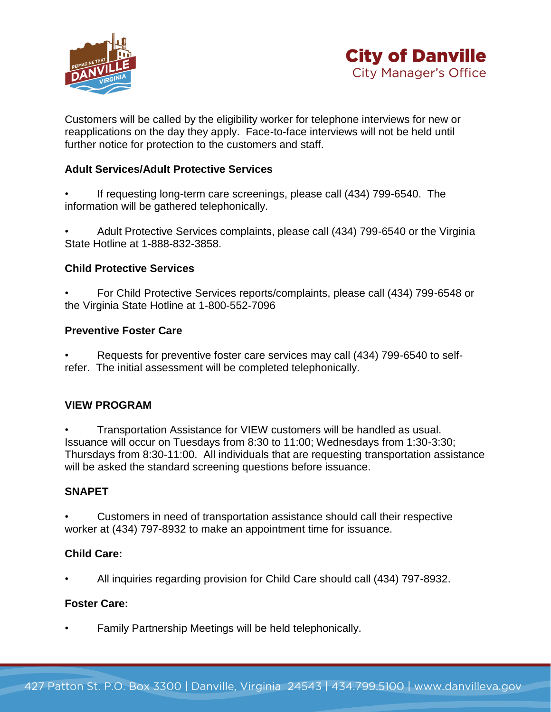



Customers will be called by the eligibility worker for telephone interviews for new or reapplications on the day they apply. Face-to-face interviews will not be held until further notice for protection to the customers and staff.

## **Adult Services/Adult Protective Services**

If requesting long-term care screenings, please call (434) 799-6540. The information will be gathered telephonically.

• Adult Protective Services complaints, please call (434) 799-6540 or the Virginia State Hotline at 1-888-832-3858.

#### **Child Protective Services**

• For Child Protective Services reports/complaints, please call (434) 799-6548 or the Virginia State Hotline at 1-800-552-7096

#### **Preventive Foster Care**

• Requests for preventive foster care services may call (434) 799-6540 to selfrefer. The initial assessment will be completed telephonically.

## **VIEW PROGRAM**

• Transportation Assistance for VIEW customers will be handled as usual. Issuance will occur on Tuesdays from 8:30 to 11:00; Wednesdays from 1:30-3:30; Thursdays from 8:30-11:00. All individuals that are requesting transportation assistance will be asked the standard screening questions before issuance.

#### **SNAPET**

• Customers in need of transportation assistance should call their respective worker at (434) 797-8932 to make an appointment time for issuance.

#### **Child Care:**

• All inquiries regarding provision for Child Care should call (434) 797-8932.

#### **Foster Care:**

• Family Partnership Meetings will be held telephonically.